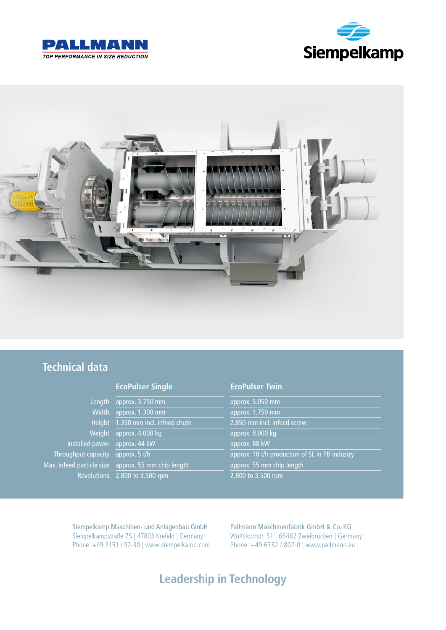





### **Technical data**

### Length approx. 3.750 mm Width approx. 1.300 mm Height 1.350 mm incl. infeed chute 2.850 mm incl. infeed screw Weight approx. 4.000 kg approx. 8.000 kg Installed power approx. 44 kW approx. 88 kW Max. infeed particle size approx. 55 mm chip length approx. 55 mm chip length

#### **EcoPulser Single EcoPulser Twin**

Throughput capacity approx. 5 t/h approx. 10 t/h production of SL in PB industry Revolutions 2.800 to 3.500 rpm 2.800 to 3.500 rpm

Siempelkamp Maschinen- und Anlagenbau GmbH Siempelkampstraße 75 | 47803 Krefeld | Germany Phone: +49 2151 / 92-30 | www.siempelkamp.com Pallmann Maschinenfabrik GmbH & Co. KG Wolfslochstr. 51 | 66482 Zweibrücken | Germany Phone: +49 6332 / 802-0 | www.pallmann.eu

### **Leadership in Technology**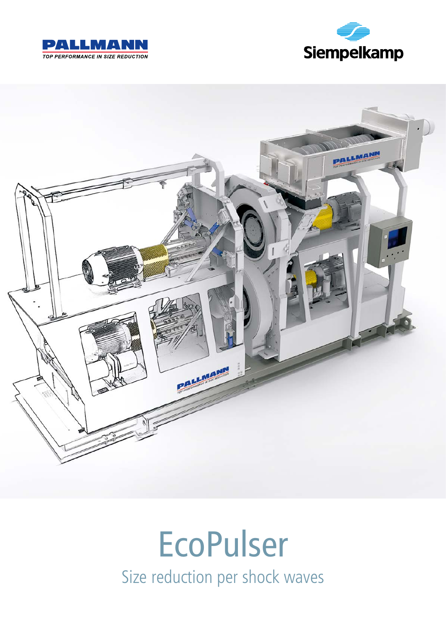





# EcoPulser Size reduction per shock waves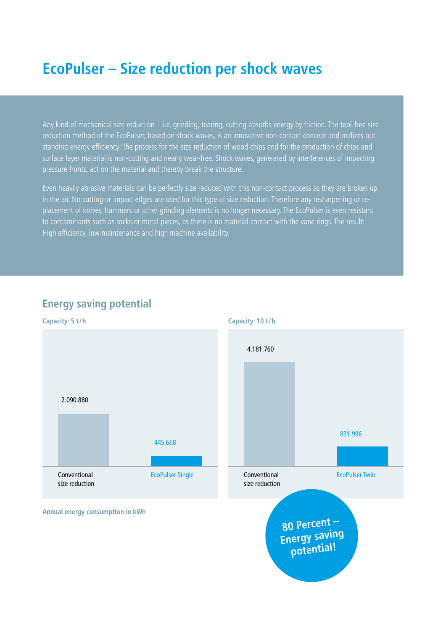## **EcoPulser – Size reduction per shock waves**

Any kind of mechanical size reduction – i.e. grinding, tearing, cutting absorbs energy by friction. The tool-free size reduction method of the EcoPulser, based on shock waves, is an innovative non-contact concept and realizes outstanding energy efficiency: The process for the size reduction of wood chips and for the production of chips and surface layer material is non-cutting and nearly wear-free. Shock waves, generated by interferences of impacting pressure fronts, act on the material and thereby break the structure.

Even heavily abrasive materials can be perfectly size reduced with this non-contact process as they are broken up in the air. No cutting or impact edges are used for this type of size reduction. Therefore any resharpening or replacement of knives, hammers or other grinding elements is no longer necessary. The EcoPulser is even resistant to contaminants such as rocks or metal pieces, as there is no material contact with the vane rings. The result: High efficiency, low maintenance and high machine availability.